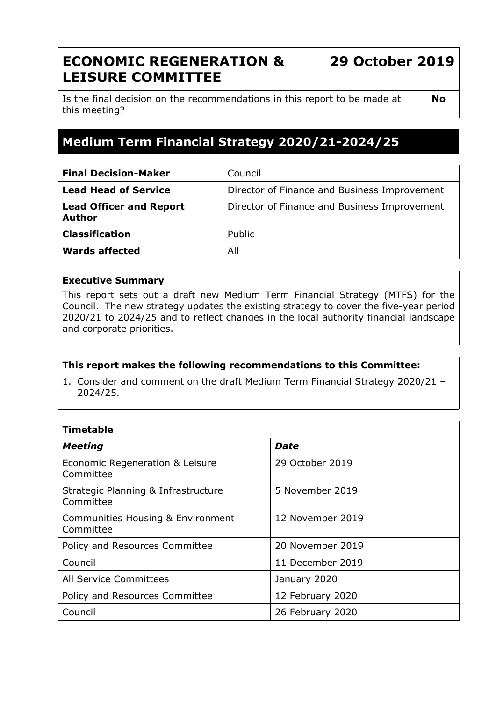# **ECONOMIC REGENERATION & LEISURE COMMITTEE**

**29 October 2019**

Is the final decision on the recommendations in this report to be made at this meeting?

**No**

# **Medium Term Financial Strategy 2020/21-2024/25**

| <b>Final Decision-Maker</b>                     | Council                                      |
|-------------------------------------------------|----------------------------------------------|
| <b>Lead Head of Service</b>                     | Director of Finance and Business Improvement |
| <b>Lead Officer and Report</b><br><b>Author</b> | Director of Finance and Business Improvement |
| <b>Classification</b>                           | Public                                       |
| <b>Wards affected</b>                           | All                                          |

#### **Executive Summary**

This report sets out a draft new Medium Term Financial Strategy (MTFS) for the Council. The new strategy updates the existing strategy to cover the five-year period 2020/21 to 2024/25 and to reflect changes in the local authority financial landscape and corporate priorities.

#### **This report makes the following recommendations to this Committee:**

1. Consider and comment on the draft Medium Term Financial Strategy 2020/21 – 2024/25.

| <b>Timetable</b>                                 |                  |  |  |
|--------------------------------------------------|------------------|--|--|
| <b>Meeting</b>                                   | Date             |  |  |
| Economic Regeneration & Leisure<br>Committee     | 29 October 2019  |  |  |
| Strategic Planning & Infrastructure<br>Committee | 5 November 2019  |  |  |
| Communities Housing & Environment<br>Committee   | 12 November 2019 |  |  |
| Policy and Resources Committee                   | 20 November 2019 |  |  |
| Council                                          | 11 December 2019 |  |  |
| All Service Committees                           | January 2020     |  |  |
| Policy and Resources Committee                   | 12 February 2020 |  |  |
| Council                                          | 26 February 2020 |  |  |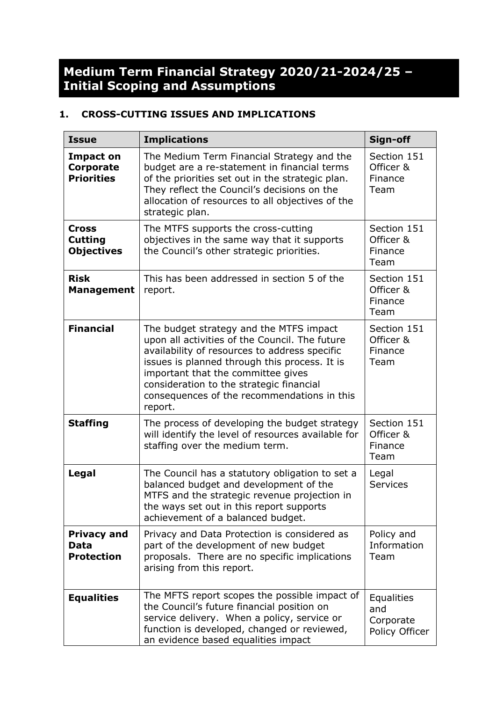# **Medium Term Financial Strategy 2020/21-2024/25 – Initial Scoping and Assumptions**

# **1. CROSS-CUTTING ISSUES AND IMPLICATIONS**

| <b>Issue</b>                                        | <b>Implications</b>                                                                                                                                                                                                                                                                                                                     | Sign-off                                                |
|-----------------------------------------------------|-----------------------------------------------------------------------------------------------------------------------------------------------------------------------------------------------------------------------------------------------------------------------------------------------------------------------------------------|---------------------------------------------------------|
| <b>Impact on</b><br>Corporate<br><b>Priorities</b>  | The Medium Term Financial Strategy and the<br>budget are a re-statement in financial terms<br>of the priorities set out in the strategic plan.<br>They reflect the Council's decisions on the<br>allocation of resources to all objectives of the<br>strategic plan.                                                                    | Section 151<br>Officer &<br>Finance<br>Team             |
| <b>Cross</b><br><b>Cutting</b><br><b>Objectives</b> | The MTFS supports the cross-cutting<br>objectives in the same way that it supports<br>the Council's other strategic priorities.                                                                                                                                                                                                         | Section 151<br>Officer &<br>Finance<br>Team             |
| <b>Risk</b><br><b>Management</b>                    | This has been addressed in section 5 of the<br>report.                                                                                                                                                                                                                                                                                  | Section 151<br>Officer &<br>Finance<br>Team             |
| <b>Financial</b>                                    | The budget strategy and the MTFS impact<br>upon all activities of the Council. The future<br>availability of resources to address specific<br>issues is planned through this process. It is<br>important that the committee gives<br>consideration to the strategic financial<br>consequences of the recommendations in this<br>report. | Section 151<br>Officer &<br>Finance<br>Team             |
| <b>Staffing</b>                                     | The process of developing the budget strategy<br>will identify the level of resources available for<br>staffing over the medium term.                                                                                                                                                                                                   | Section 151<br>Officer &<br>Finance<br>Team             |
| Legal                                               | The Council has a statutory obligation to set a<br>balanced budget and development of the<br>MTFS and the strategic revenue projection in<br>the ways set out in this report supports<br>achievement of a balanced budget.                                                                                                              | Legal<br><b>Services</b>                                |
| <b>Privacy and</b><br>Data<br><b>Protection</b>     | Privacy and Data Protection is considered as<br>part of the development of new budget<br>proposals. There are no specific implications<br>arising from this report.                                                                                                                                                                     | Policy and<br>Information<br>Team                       |
| <b>Equalities</b>                                   | The MFTS report scopes the possible impact of<br>the Council's future financial position on<br>service delivery. When a policy, service or<br>function is developed, changed or reviewed,<br>an evidence based equalities impact                                                                                                        | <b>Equalities</b><br>and<br>Corporate<br>Policy Officer |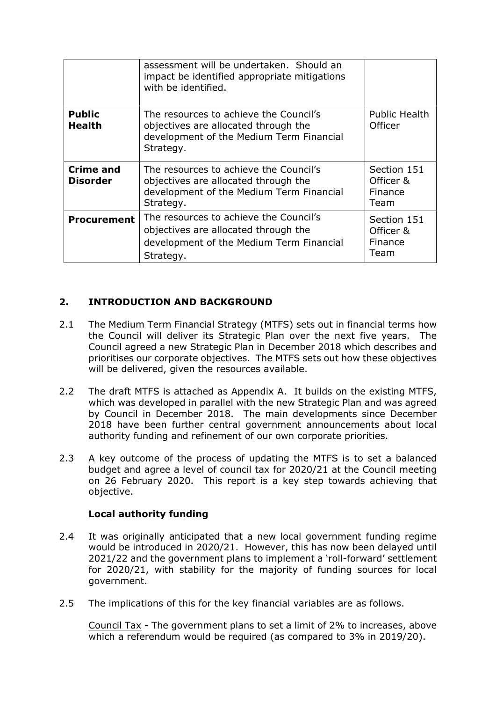|                                     | assessment will be undertaken. Should an<br>impact be identified appropriate mitigations<br>with be identified.                         |                                             |
|-------------------------------------|-----------------------------------------------------------------------------------------------------------------------------------------|---------------------------------------------|
| <b>Public</b><br><b>Health</b>      | The resources to achieve the Council's<br>objectives are allocated through the<br>development of the Medium Term Financial<br>Strategy. | <b>Public Health</b><br>Officer             |
| <b>Crime and</b><br><b>Disorder</b> | The resources to achieve the Council's<br>objectives are allocated through the<br>development of the Medium Term Financial<br>Strategy. | Section 151<br>Officer &<br>Finance<br>Team |
| <b>Procurement</b>                  | The resources to achieve the Council's<br>objectives are allocated through the<br>development of the Medium Term Financial<br>Strategy. | Section 151<br>Officer &<br>Finance<br>Team |

# **2. INTRODUCTION AND BACKGROUND**

- 2.1 The Medium Term Financial Strategy (MTFS) sets out in financial terms how the Council will deliver its Strategic Plan over the next five years. The Council agreed a new Strategic Plan in December 2018 which describes and prioritises our corporate objectives. The MTFS sets out how these objectives will be delivered, given the resources available.
- 2.2 The draft MTFS is attached as Appendix A. It builds on the existing MTFS, which was developed in parallel with the new Strategic Plan and was agreed by Council in December 2018. The main developments since December 2018 have been further central government announcements about local authority funding and refinement of our own corporate priorities.
- 2.3 A key outcome of the process of updating the MTFS is to set a balanced budget and agree a level of council tax for 2020/21 at the Council meeting on 26 February 2020. This report is a key step towards achieving that objective.

#### **Local authority funding**

- 2.4 It was originally anticipated that a new local government funding regime would be introduced in 2020/21. However, this has now been delayed until 2021/22 and the government plans to implement a 'roll-forward' settlement for 2020/21, with stability for the majority of funding sources for local government.
- 2.5 The implications of this for the key financial variables are as follows.

Council Tax - The government plans to set a limit of 2% to increases, above which a referendum would be required (as compared to 3% in 2019/20).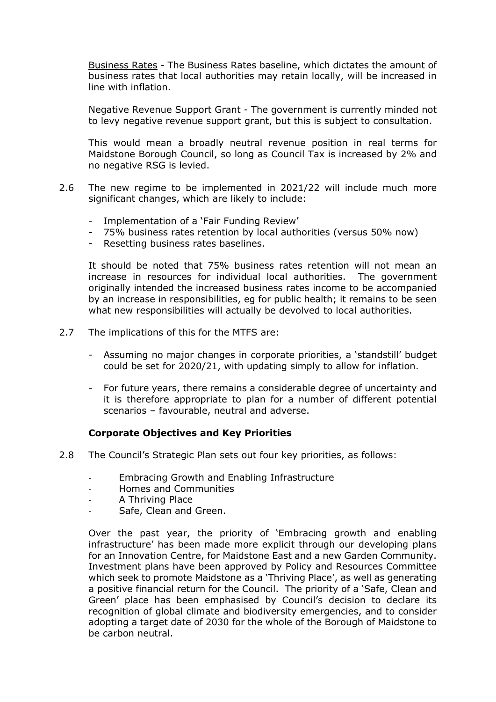Business Rates - The Business Rates baseline, which dictates the amount of business rates that local authorities may retain locally, will be increased in line with inflation.

Negative Revenue Support Grant - The government is currently minded not to levy negative revenue support grant, but this is subject to consultation.

This would mean a broadly neutral revenue position in real terms for Maidstone Borough Council, so long as Council Tax is increased by 2% and no negative RSG is levied.

- 2.6 The new regime to be implemented in 2021/22 will include much more significant changes, which are likely to include:
	- Implementation of a 'Fair Funding Review'
	- 75% business rates retention by local authorities (versus 50% now)
	- Resetting business rates baselines.

It should be noted that 75% business rates retention will not mean an increase in resources for individual local authorities. The government originally intended the increased business rates income to be accompanied by an increase in responsibilities, eg for public health; it remains to be seen what new responsibilities will actually be devolved to local authorities.

- 2.7 The implications of this for the MTFS are:
	- Assuming no major changes in corporate priorities, a 'standstill' budget could be set for 2020/21, with updating simply to allow for inflation.
	- For future years, there remains a considerable degree of uncertainty and it is therefore appropriate to plan for a number of different potential scenarios – favourable, neutral and adverse.

#### **Corporate Objectives and Key Priorities**

- 2.8 The Council's Strategic Plan sets out four key priorities, as follows:
	- Embracing Growth and Enabling Infrastructure
	- Homes and Communities
	- A Thriving Place
	- Safe, Clean and Green.

Over the past year, the priority of 'Embracing growth and enabling infrastructure' has been made more explicit through our developing plans for an Innovation Centre, for Maidstone East and a new Garden Community. Investment plans have been approved by Policy and Resources Committee which seek to promote Maidstone as a 'Thriving Place', as well as generating a positive financial return for the Council. The priority of a 'Safe, Clean and Green' place has been emphasised by Council's decision to declare its recognition of global climate and biodiversity emergencies, and to consider adopting a target date of 2030 for the whole of the Borough of Maidstone to be carbon neutral.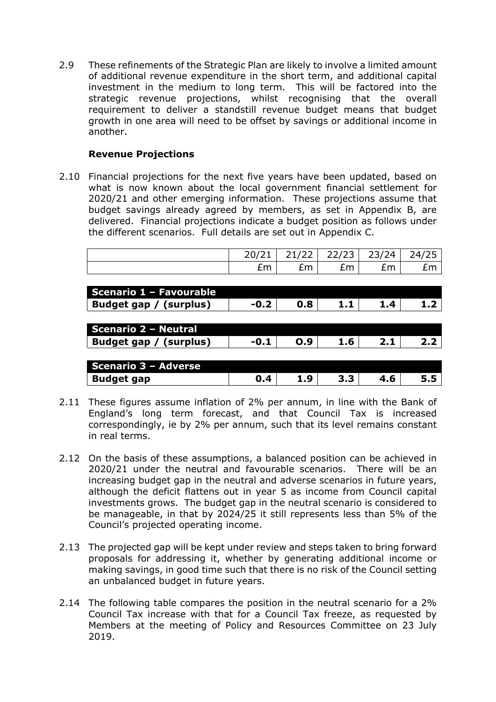2.9 These refinements of the Strategic Plan are likely to involve a limited amount of additional revenue expenditure in the short term, and additional capital investment in the medium to long term. This will be factored into the strategic revenue projections, whilst recognising that the overall requirement to deliver a standstill revenue budget means that budget growth in one area will need to be offset by savings or additional income in another.

#### **Revenue Projections**

2.10 Financial projections for the next five years have been updated, based on what is now known about the local government financial settlement for 2020/21 and other emerging information. These projections assume that budget savings already agreed by members, as set in Appendix B, are delivered. Financial projections indicate a budget position as follows under the different scenarios. Full details are set out in Appendix C.

|                             | 20/21  | 21/22 | 22/23 | 23/24 | 24/25 |
|-----------------------------|--------|-------|-------|-------|-------|
|                             | £m     | £m    | £m    | £m    | £m    |
|                             |        |       |       |       |       |
| Scenario 1 - Favourable     |        |       |       |       |       |
| Budget gap / (surplus)      | $-0.2$ | 0.8   | 1.1   | 1.4   | 1.2   |
|                             |        |       |       |       |       |
| <b>Scenario 2 - Neutral</b> |        |       |       |       |       |
| Budget gap / (surplus)      | $-0.1$ | O.9   | 1.6   | 2.1   | 2.2   |
|                             |        |       |       |       |       |
| Scenario 3 - Adverse        |        |       |       |       |       |
| <b>Budget gap</b>           | 0.4    | 1.9   | 3.3   | 4.6   | 5.5   |

- 2.11 These figures assume inflation of 2% per annum, in line with the Bank of England's long term forecast, and that Council Tax is increased correspondingly, ie by 2% per annum, such that its level remains constant in real terms.
- 2.12 On the basis of these assumptions, a balanced position can be achieved in 2020/21 under the neutral and favourable scenarios. There will be an increasing budget gap in the neutral and adverse scenarios in future years, although the deficit flattens out in year 5 as income from Council capital investments grows. The budget gap in the neutral scenario is considered to be manageable, in that by 2024/25 it still represents less than 5% of the Council's projected operating income.
- 2.13 The projected gap will be kept under review and steps taken to bring forward proposals for addressing it, whether by generating additional income or making savings, in good time such that there is no risk of the Council setting an unbalanced budget in future years.
- 2.14 The following table compares the position in the neutral scenario for a 2% Council Tax increase with that for a Council Tax freeze, as requested by Members at the meeting of Policy and Resources Committee on 23 July 2019.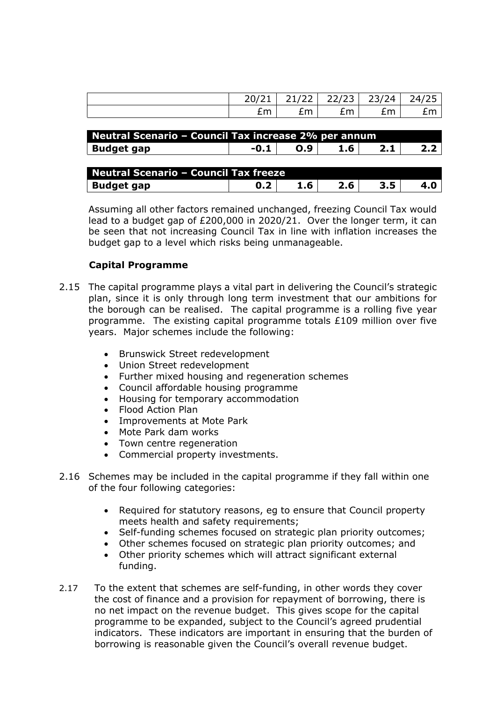|     | 21/22<br>- 21722 1<br><u>_ _</u> |   | 22/23   23/24   24/25 |    |
|-----|----------------------------------|---|-----------------------|----|
| ົm. | $\sim$                           | m | $+m$                  | £m |

| <b>Neutral Scenario - Council Tax increase 2% per annum</b> |        |     |                  |  |               |
|-------------------------------------------------------------|--------|-----|------------------|--|---------------|
| Budget gap                                                  | $-0.1$ | O.9 | 1.6 <sup>1</sup> |  | $2.2^{\circ}$ |

| Neutral Scenario - Council Tax freeze |  |     |     |  |  |
|---------------------------------------|--|-----|-----|--|--|
| Budget gap                            |  | 1.6 | 2.6 |  |  |

Assuming all other factors remained unchanged, freezing Council Tax would lead to a budget gap of £200,000 in 2020/21. Over the longer term, it can be seen that not increasing Council Tax in line with inflation increases the budget gap to a level which risks being unmanageable.

#### **Capital Programme**

- 2.15 The capital programme plays a vital part in delivering the Council's strategic plan, since it is only through long term investment that our ambitions for the borough can be realised. The capital programme is a rolling five year programme. The existing capital programme totals £109 million over five years. Major schemes include the following:
	- Brunswick Street redevelopment
	- Union Street redevelopment
	- Further mixed housing and regeneration schemes
	- Council affordable housing programme
	- Housing for temporary accommodation
	- Flood Action Plan
	- Improvements at Mote Park
	- Mote Park dam works
	- Town centre regeneration
	- Commercial property investments.
- 2.16 Schemes may be included in the capital programme if they fall within one of the four following categories:
	- Required for statutory reasons, eg to ensure that Council property meets health and safety requirements;
	- Self-funding schemes focused on strategic plan priority outcomes;
	- Other schemes focused on strategic plan priority outcomes; and
	- Other priority schemes which will attract significant external funding.
- 2.17 To the extent that schemes are self-funding, in other words they cover the cost of finance and a provision for repayment of borrowing, there is no net impact on the revenue budget. This gives scope for the capital programme to be expanded, subject to the Council's agreed prudential indicators. These indicators are important in ensuring that the burden of borrowing is reasonable given the Council's overall revenue budget.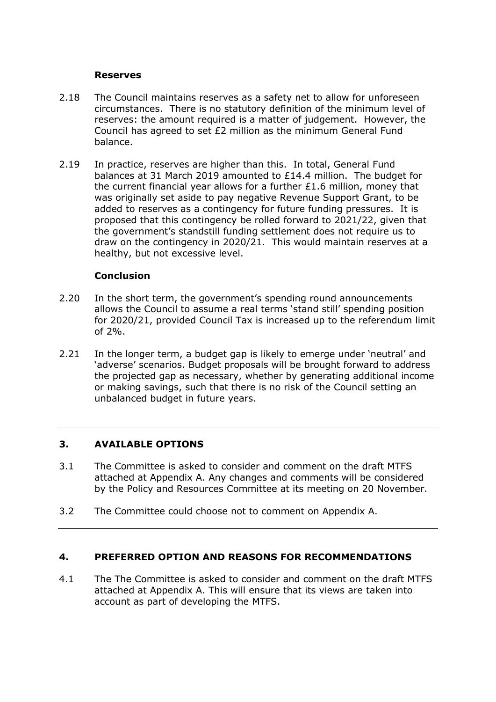#### **Reserves**

- 2.18 The Council maintains reserves as a safety net to allow for unforeseen circumstances. There is no statutory definition of the minimum level of reserves: the amount required is a matter of judgement. However, the Council has agreed to set £2 million as the minimum General Fund balance.
- 2.19 In practice, reserves are higher than this. In total, General Fund balances at 31 March 2019 amounted to £14.4 million. The budget for the current financial year allows for a further £1.6 million, money that was originally set aside to pay negative Revenue Support Grant, to be added to reserves as a contingency for future funding pressures. It is proposed that this contingency be rolled forward to 2021/22, given that the government's standstill funding settlement does not require us to draw on the contingency in 2020/21. This would maintain reserves at a healthy, but not excessive level.

#### **Conclusion**

- 2.20 In the short term, the government's spending round announcements allows the Council to assume a real terms 'stand still' spending position for 2020/21, provided Council Tax is increased up to the referendum limit of 2%.
- 2.21 In the longer term, a budget gap is likely to emerge under 'neutral' and 'adverse' scenarios. Budget proposals will be brought forward to address the projected gap as necessary, whether by generating additional income or making savings, such that there is no risk of the Council setting an unbalanced budget in future years.

## **3. AVAILABLE OPTIONS**

- 3.1 The Committee is asked to consider and comment on the draft MTFS attached at Appendix A. Any changes and comments will be considered by the Policy and Resources Committee at its meeting on 20 November.
- 3.2 The Committee could choose not to comment on Appendix A.

#### **4. PREFERRED OPTION AND REASONS FOR RECOMMENDATIONS**

4.1 The The Committee is asked to consider and comment on the draft MTFS attached at Appendix A. This will ensure that its views are taken into account as part of developing the MTFS.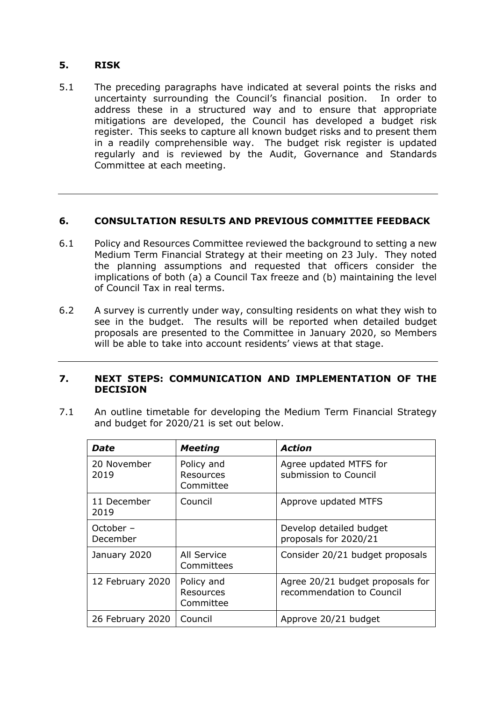### **5. RISK**

5.1 The preceding paragraphs have indicated at several points the risks and uncertainty surrounding the Council's financial position. In order to address these in a structured way and to ensure that appropriate mitigations are developed, the Council has developed a budget risk register. This seeks to capture all known budget risks and to present them in a readily comprehensible way. The budget risk register is updated regularly and is reviewed by the Audit, Governance and Standards Committee at each meeting.

#### **6. CONSULTATION RESULTS AND PREVIOUS COMMITTEE FEEDBACK**

- 6.1 Policy and Resources Committee reviewed the background to setting a new Medium Term Financial Strategy at their meeting on 23 July. They noted the planning assumptions and requested that officers consider the implications of both (a) a Council Tax freeze and (b) maintaining the level of Council Tax in real terms.
- 6.2 A survey is currently under way, consulting residents on what they wish to see in the budget. The results will be reported when detailed budget proposals are presented to the Committee in January 2020, so Members will be able to take into account residents' views at that stage.

#### **7. NEXT STEPS: COMMUNICATION AND IMPLEMENTATION OF THE DECISION**

7.1 An outline timetable for developing the Medium Term Financial Strategy and budget for 2020/21 is set out below.

| Date                  | <b>Meeting</b>                       | <b>Action</b>                                                 |
|-----------------------|--------------------------------------|---------------------------------------------------------------|
| 20 November<br>2019   | Policy and<br>Resources<br>Committee | Agree updated MTFS for<br>submission to Council               |
| 11 December<br>2019   | Council                              | Approve updated MTFS                                          |
| October -<br>December |                                      | Develop detailed budget<br>proposals for 2020/21              |
| January 2020          | All Service<br>Committees            | Consider 20/21 budget proposals                               |
| 12 February 2020      | Policy and<br>Resources<br>Committee | Agree 20/21 budget proposals for<br>recommendation to Council |
| 26 February 2020      | Council                              | Approve 20/21 budget                                          |